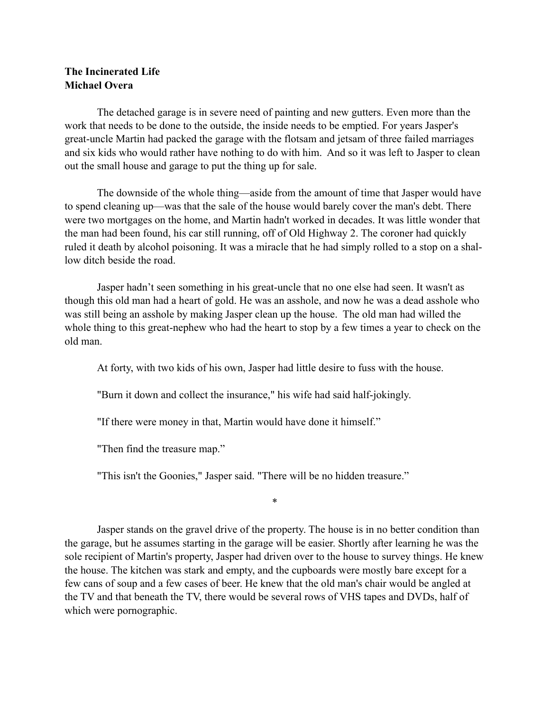## **The Incinerated Life Michael Overa**

 The detached garage is in severe need of painting and new gutters. Even more than the work that needs to be done to the outside, the inside needs to be emptied. For years Jasper's great-uncle Martin had packed the garage with the flotsam and jetsam of three failed marriages and six kids who would rather have nothing to do with him. And so it was left to Jasper to clean out the small house and garage to put the thing up for sale.

 The downside of the whole thing—aside from the amount of time that Jasper would have to spend cleaning up—was that the sale of the house would barely cover the man's debt. There were two mortgages on the home, and Martin hadn't worked in decades. It was little wonder that the man had been found, his car still running, off of Old Highway 2. The coroner had quickly ruled it death by alcohol poisoning. It was a miracle that he had simply rolled to a stop on a shallow ditch beside the road.

 Jasper hadn't seen something in his great-uncle that no one else had seen. It wasn't as though this old man had a heart of gold. He was an asshole, and now he was a dead asshole who was still being an asshole by making Jasper clean up the house. The old man had willed the whole thing to this great-nephew who had the heart to stop by a few times a year to check on the old man.

At forty, with two kids of his own, Jasper had little desire to fuss with the house.

"Burn it down and collect the insurance," his wife had said half-jokingly.

"If there were money in that, Martin would have done it himself."

"Then find the treasure map."

"This isn't the Goonies," Jasper said. "There will be no hidden treasure."

\*

 Jasper stands on the gravel drive of the property. The house is in no better condition than the garage, but he assumes starting in the garage will be easier. Shortly after learning he was the sole recipient of Martin's property, Jasper had driven over to the house to survey things. He knew the house. The kitchen was stark and empty, and the cupboards were mostly bare except for a few cans of soup and a few cases of beer. He knew that the old man's chair would be angled at the TV and that beneath the TV, there would be several rows of VHS tapes and DVDs, half of which were pornographic.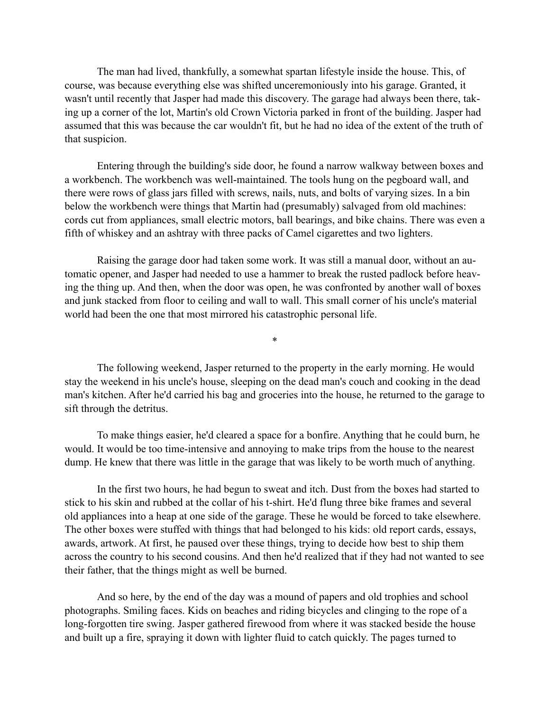The man had lived, thankfully, a somewhat spartan lifestyle inside the house. This, of course, was because everything else was shifted unceremoniously into his garage. Granted, it wasn't until recently that Jasper had made this discovery. The garage had always been there, taking up a corner of the lot, Martin's old Crown Victoria parked in front of the building. Jasper had assumed that this was because the car wouldn't fit, but he had no idea of the extent of the truth of that suspicion.

 Entering through the building's side door, he found a narrow walkway between boxes and a workbench. The workbench was well-maintained. The tools hung on the pegboard wall, and there were rows of glass jars filled with screws, nails, nuts, and bolts of varying sizes. In a bin below the workbench were things that Martin had (presumably) salvaged from old machines: cords cut from appliances, small electric motors, ball bearings, and bike chains. There was even a fifth of whiskey and an ashtray with three packs of Camel cigarettes and two lighters.

 Raising the garage door had taken some work. It was still a manual door, without an automatic opener, and Jasper had needed to use a hammer to break the rusted padlock before heaving the thing up. And then, when the door was open, he was confronted by another wall of boxes and junk stacked from floor to ceiling and wall to wall. This small corner of his uncle's material world had been the one that most mirrored his catastrophic personal life.

 The following weekend, Jasper returned to the property in the early morning. He would stay the weekend in his uncle's house, sleeping on the dead man's couch and cooking in the dead man's kitchen. After he'd carried his bag and groceries into the house, he returned to the garage to sift through the detritus.

\*

 To make things easier, he'd cleared a space for a bonfire. Anything that he could burn, he would. It would be too time-intensive and annoying to make trips from the house to the nearest dump. He knew that there was little in the garage that was likely to be worth much of anything.

 In the first two hours, he had begun to sweat and itch. Dust from the boxes had started to stick to his skin and rubbed at the collar of his t-shirt. He'd flung three bike frames and several old appliances into a heap at one side of the garage. These he would be forced to take elsewhere. The other boxes were stuffed with things that had belonged to his kids: old report cards, essays, awards, artwork. At first, he paused over these things, trying to decide how best to ship them across the country to his second cousins. And then he'd realized that if they had not wanted to see their father, that the things might as well be burned.

 And so here, by the end of the day was a mound of papers and old trophies and school photographs. Smiling faces. Kids on beaches and riding bicycles and clinging to the rope of a long-forgotten tire swing. Jasper gathered firewood from where it was stacked beside the house and built up a fire, spraying it down with lighter fluid to catch quickly. The pages turned to